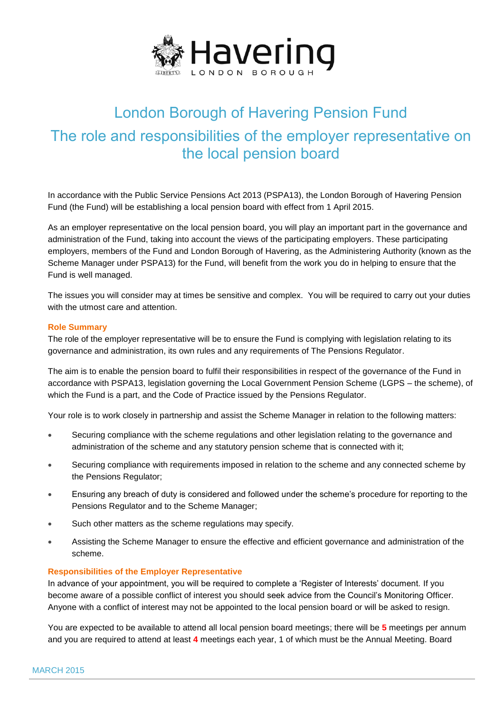

# London Borough of Havering Pension Fund The role and responsibilities of the employer representative on the local pension board

In accordance with the Public Service Pensions Act 2013 (PSPA13), the London Borough of Havering Pension Fund (the Fund) will be establishing a local pension board with effect from 1 April 2015.

As an employer representative on the local pension board, you will play an important part in the governance and administration of the Fund, taking into account the views of the participating employers. These participating employers, members of the Fund and London Borough of Havering, as the Administering Authority (known as the Scheme Manager under PSPA13) for the Fund, will benefit from the work you do in helping to ensure that the Fund is well managed.

The issues you will consider may at times be sensitive and complex. You will be required to carry out your duties with the utmost care and attention.

## **Role Summary**

The role of the employer representative will be to ensure the Fund is complying with legislation relating to its governance and administration, its own rules and any requirements of The Pensions Regulator.

The aim is to enable the pension board to fulfil their responsibilities in respect of the governance of the Fund in accordance with PSPA13, legislation governing the Local Government Pension Scheme (LGPS – the scheme), of which the Fund is a part, and the Code of Practice issued by the Pensions Regulator.

Your role is to work closely in partnership and assist the Scheme Manager in relation to the following matters:

- Securing compliance with the scheme regulations and other legislation relating to the governance and administration of the scheme and any statutory pension scheme that is connected with it;
- Securing compliance with requirements imposed in relation to the scheme and any connected scheme by the Pensions Regulator;
- Ensuring any breach of duty is considered and followed under the scheme's procedure for reporting to the Pensions Regulator and to the Scheme Manager;
- Such other matters as the scheme regulations may specify.
- Assisting the Scheme Manager to ensure the effective and efficient governance and administration of the scheme.

## **Responsibilities of the Employer Representative**

In advance of your appointment, you will be required to complete a 'Register of Interests' document. If you become aware of a possible conflict of interest you should seek advice from the Council's Monitoring Officer. Anyone with a conflict of interest may not be appointed to the local pension board or will be asked to resign.

You are expected to be available to attend all local pension board meetings; there will be **5** meetings per annum and you are required to attend at least **4** meetings each year, 1 of which must be the Annual Meeting. Board